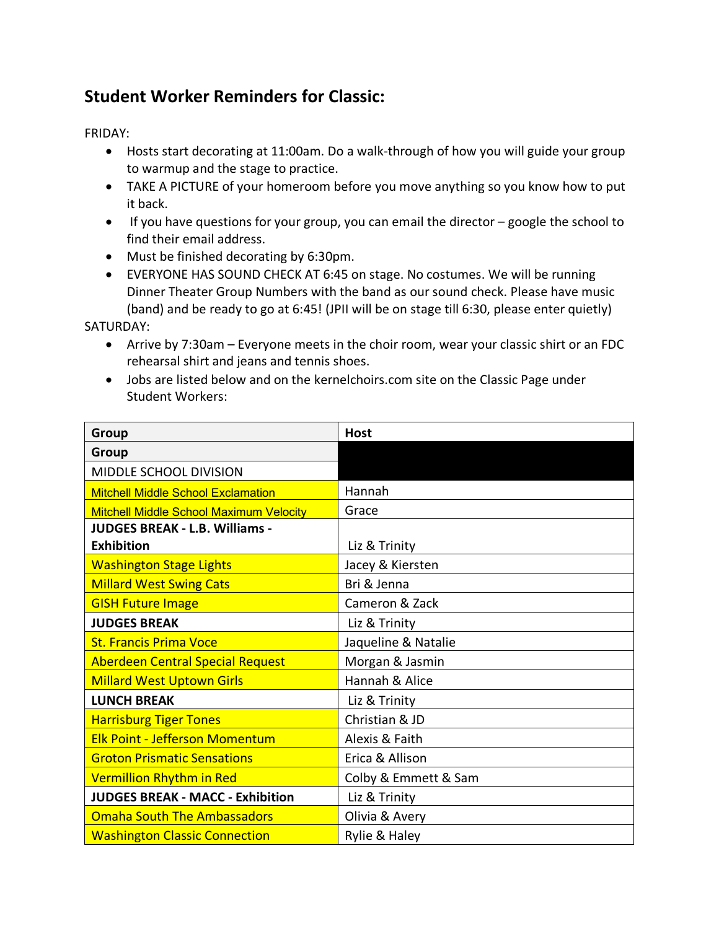## **Student Worker Reminders for Classic:**

FRIDAY:

- Hosts start decorating at 11:00am. Do a walk-through of how you will guide your group to warmup and the stage to practice.
- TAKE A PICTURE of your homeroom before you move anything so you know how to put it back.
- If you have questions for your group, you can email the director google the school to find their email address.
- Must be finished decorating by 6:30pm.
- EVERYONE HAS SOUND CHECK AT 6:45 on stage. No costumes. We will be running Dinner Theater Group Numbers with the band as our sound check. Please have music (band) and be ready to go at 6:45! (JPII will be on stage till 6:30, please enter quietly)

SATURDAY:

- Arrive by 7:30am Everyone meets in the choir room, wear your classic shirt or an FDC rehearsal shirt and jeans and tennis shoes.
- Jobs are listed below and on the kernelchoirs.com site on the Classic Page under Student Workers:

| Group                                          | <b>Host</b>          |  |  |  |
|------------------------------------------------|----------------------|--|--|--|
| <b>Group</b>                                   |                      |  |  |  |
| MIDDLE SCHOOL DIVISION                         |                      |  |  |  |
| <b>Mitchell Middle School Exclamation</b>      | Hannah               |  |  |  |
| <b>Mitchell Middle School Maximum Velocity</b> | Grace                |  |  |  |
| <b>JUDGES BREAK - L.B. Williams -</b>          |                      |  |  |  |
| <b>Exhibition</b>                              | Liz & Trinity        |  |  |  |
| <b>Washington Stage Lights</b>                 | Jacey & Kiersten     |  |  |  |
| <b>Millard West Swing Cats</b>                 | Bri & Jenna          |  |  |  |
| <b>GISH Future Image</b>                       | Cameron & Zack       |  |  |  |
| <b>JUDGES BREAK</b>                            | Liz & Trinity        |  |  |  |
| <b>St. Francis Prima Voce</b>                  | Jaqueline & Natalie  |  |  |  |
| <b>Aberdeen Central Special Request</b>        | Morgan & Jasmin      |  |  |  |
| <b>Millard West Uptown Girls</b>               | Hannah & Alice       |  |  |  |
| <b>LUNCH BREAK</b>                             | Liz & Trinity        |  |  |  |
| <b>Harrisburg Tiger Tones</b>                  | Christian & JD       |  |  |  |
| <b>Elk Point - Jefferson Momentum</b>          | Alexis & Faith       |  |  |  |
| <b>Groton Prismatic Sensations</b>             | Erica & Allison      |  |  |  |
| Vermillion Rhythm in Red                       | Colby & Emmett & Sam |  |  |  |
| <b>JUDGES BREAK - MACC - Exhibition</b>        | Liz & Trinity        |  |  |  |
| <b>Omaha South The Ambassadors</b>             | Olivia & Avery       |  |  |  |
| <b>Washington Classic Connection</b>           | Rylie & Haley        |  |  |  |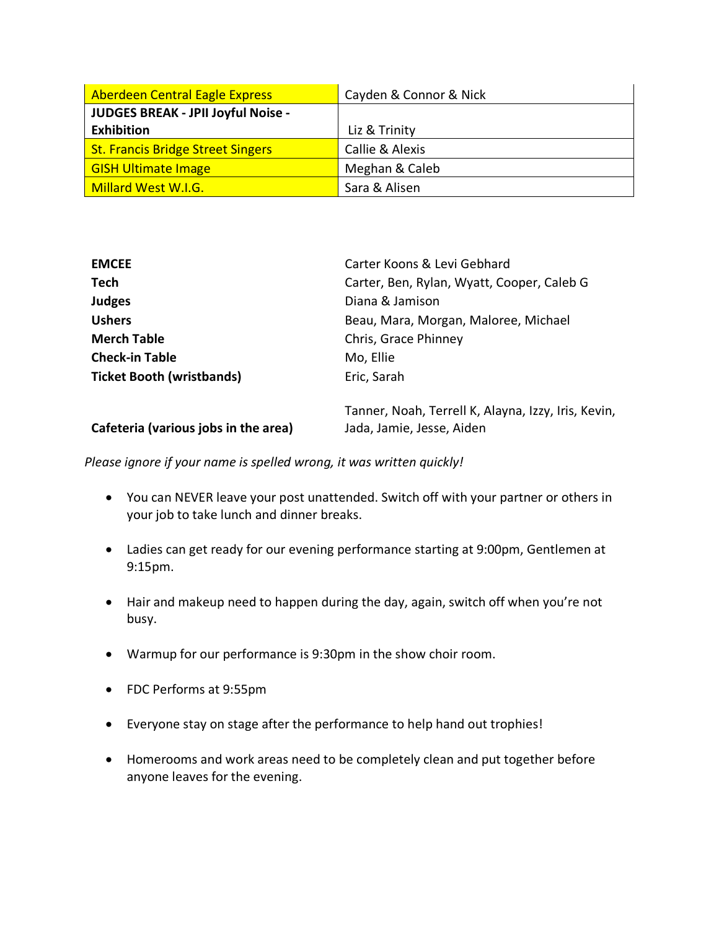| <b>Aberdeen Central Eagle Express</b>    | Cayden & Connor & Nick |  |  |
|------------------------------------------|------------------------|--|--|
| JUDGES BREAK - JPII Joyful Noise -       |                        |  |  |
| <b>Exhibition</b>                        | Liz & Trinity          |  |  |
| <b>St. Francis Bridge Street Singers</b> | Callie & Alexis        |  |  |
| <b>GISH Ultimate Image</b>               | Meghan & Caleb         |  |  |
| Millard West W.I.G.                      | Sara & Alisen          |  |  |

| <b>EMCEE</b>                         | Carter Koons & Levi Gebhard                                                      |  |  |  |  |
|--------------------------------------|----------------------------------------------------------------------------------|--|--|--|--|
| <b>Tech</b>                          | Carter, Ben, Rylan, Wyatt, Cooper, Caleb G                                       |  |  |  |  |
| <b>Judges</b>                        | Diana & Jamison                                                                  |  |  |  |  |
| <b>Ushers</b>                        | Beau, Mara, Morgan, Maloree, Michael                                             |  |  |  |  |
| <b>Merch Table</b>                   | Chris, Grace Phinney                                                             |  |  |  |  |
| <b>Check-in Table</b>                | Mo, Ellie                                                                        |  |  |  |  |
| <b>Ticket Booth (wristbands)</b>     | Eric, Sarah                                                                      |  |  |  |  |
| Cafeteria (various jobs in the area) | Tanner, Noah, Terrell K, Alayna, Izzy, Iris, Kevin,<br>Jada, Jamie, Jesse, Aiden |  |  |  |  |
|                                      |                                                                                  |  |  |  |  |

*Please ignore if your name is spelled wrong, it was written quickly!*

- You can NEVER leave your post unattended. Switch off with your partner or others in your job to take lunch and dinner breaks.
- Ladies can get ready for our evening performance starting at 9:00pm, Gentlemen at 9:15pm.
- Hair and makeup need to happen during the day, again, switch off when you're not busy.
- Warmup for our performance is 9:30pm in the show choir room.
- FDC Performs at 9:55pm
- Everyone stay on stage after the performance to help hand out trophies!
- Homerooms and work areas need to be completely clean and put together before anyone leaves for the evening.